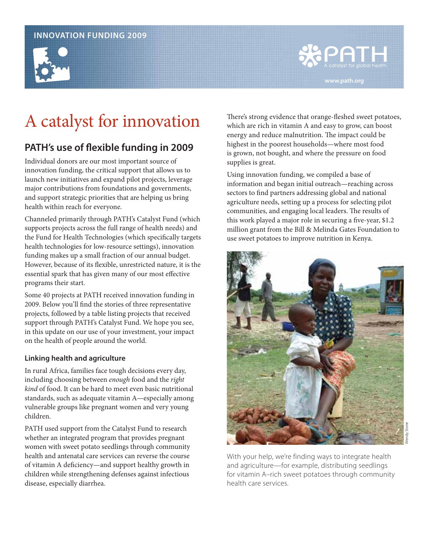#### **INNOVATION FUNDING 2009**



# PATH **www.path.org**

## A catalyst for innovation

### **PATH's use of flexible funding in 2009**

Individual donors are our most important source of innovation funding, the critical support that allows us to launch new initiatives and expand pilot projects, leverage major contributions from foundations and governments, and support strategic priorities that are helping us bring health within reach for everyone.

Channeled primarily through PATH's Catalyst Fund (which supports projects across the full range of health needs) and the Fund for Health Technologies (which specifically targets health technologies for low-resource settings), innovation funding makes up a small fraction of our annual budget. However, because of its flexible, unrestricted nature, it is the essential spark that has given many of our most effective programs their start.

Some 40 projects at PATH received innovation funding in 2009. Below you'll find the stories of three representative projects, followed by a table listing projects that received support through PATH's Catalyst Fund. We hope you see, in this update on our use of your investment, your impact on the health of people around the world.

#### **Linking health and agriculture**

In rural Africa, families face tough decisions every day, including choosing between enough food and the right kind of food. It can be hard to meet even basic nutritional standards, such as adequate vitamin A—especially among vulnerable groups like pregnant women and very young children.

PATH used support from the Catalyst Fund to research whether an integrated program that provides pregnant women with sweet potato seedlings through community health and antenatal care services can reverse the course of vitamin A deficiency—and support healthy growth in children while strengthening defenses against infectious disease, especially diarrhea.

There's strong evidence that orange-fleshed sweet potatoes, which are rich in vitamin A and easy to grow, can boost energy and reduce malnutrition. The impact could be highest in the poorest households—where most food is grown, not bought, and where the pressure on food supplies is great.

Using innovation funding, we compiled a base of information and began initial outreach—reaching across sectors to find partners addressing global and national agriculture needs, setting up a process for selecting pilot communities, and engaging local leaders. The results of this work played a major role in securing a five-year, \$1.2 million grant from the Bill & Melinda Gates Foundation to use sweet potatoes to improve nutrition in Kenya.



With your help, we're finding ways to integrate health and agriculture—for example, distributing seedlings for vitamin A–rich sweet potatoes through community health care services.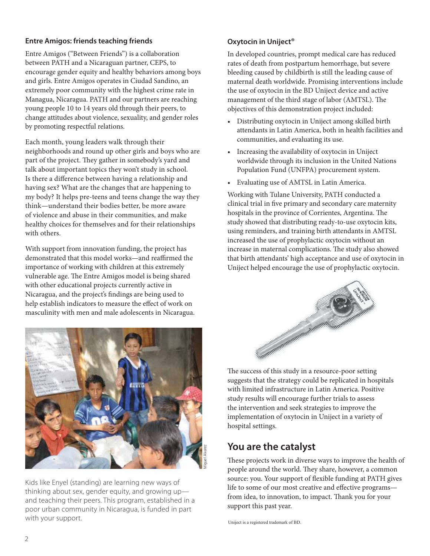#### **Entre Amigos: friends teaching friends**

Entre Amigos ("Between Friends") is a collaboration between PATH and a Nicaraguan partner, CEPS, to encourage gender equity and healthy behaviors among boys and girls. Entre Amigos operates in Ciudad Sandino, an extremely poor community with the highest crime rate in Managua, Nicaragua. PATH and our partners are reaching young people 10 to 14 years old through their peers, to change attitudes about violence, sexuality, and gender roles by promoting respectful relations.

Each month, young leaders walk through their neighborhoods and round up other girls and boys who are part of the project. They gather in somebody's yard and talk about important topics they won't study in school. Is there a difference between having a relationship and having sex? What are the changes that are happening to my body? It helps pre-teens and teens change the way they think—understand their bodies better, be more aware of violence and abuse in their communities, and make healthy choices for themselves and for their relationships with others.

With support from innovation funding, the project has demonstrated that this model works—and reaffirmed the importance of working with children at this extremely vulnerable age. The Entre Amigos model is being shared with other educational projects currently active in Nicaragua, and the project's findings are being used to help establish indicators to measure the effect of work on masculinity with men and male adolescents in Nicaragua.



Kids like Enyel (standing) are learning new ways of thinking about sex, gender equity, and growing up and teaching their peers. This program, established in a poor urban community in Nicaragua, is funded in part with your support.

#### **Oxytocin in Uniject®**

In developed countries, prompt medical care has reduced rates of death from postpartum hemorrhage, but severe bleeding caused by childbirth is still the leading cause of maternal death worldwide. Promising interventions include the use of oxytocin in the BD Uniject device and active management of the third stage of labor (AMTSL). The objectives of this demonstration project included:

- Distributing oxytocin in Uniject among skilled birth attendants in Latin America, both in health facilities and communities, and evaluating its use.
- Increasing the availability of oxytocin in Uniject worldwide through its inclusion in the United Nations Population Fund (UNFPA) procurement system.
- Evaluating use of AMTSL in Latin America.

Working with Tulane University, PATH conducted a clinical trial in five primary and secondary care maternity hospitals in the province of Corrientes, Argentina. The study showed that distributing ready-to-use oxytocin kits, using reminders, and training birth attendants in AMTSL increased the use of prophylactic oxytocin without an increase in maternal complications. The study also showed that birth attendants' high acceptance and use of oxytocin in Uniject helped encourage the use of prophylactic oxytocin.



The success of this study in a resource-poor setting suggests that the strategy could be replicated in hospitals with limited infrastructure in Latin America. Positive study results will encourage further trials to assess the intervention and seek strategies to improve the implementation of oxytocin in Uniject in a variety of hospital settings.

### **You are the catalyst**

These projects work in diverse ways to improve the health of people around the world. They share, however, a common source: you. Your support of flexible funding at PATH gives life to some of our most creative and effective programs from idea, to innovation, to impact. Thank you for your support this past year.

Uniject is a registered trademark of BD.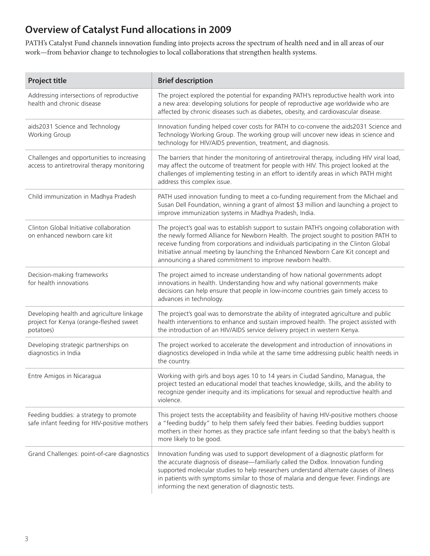## **Overview of Catalyst Fund allocations in 2009**

PATH's Catalyst Fund channels innovation funding into projects across the spectrum of health need and in all areas of our work—from behavior change to technologies to local collaborations that strengthen health systems.

| <b>Project title</b>                                                                              | <b>Brief description</b>                                                                                                                                                                                                                                                                                                                                                                                                   |
|---------------------------------------------------------------------------------------------------|----------------------------------------------------------------------------------------------------------------------------------------------------------------------------------------------------------------------------------------------------------------------------------------------------------------------------------------------------------------------------------------------------------------------------|
| Addressing intersections of reproductive<br>health and chronic disease                            | The project explored the potential for expanding PATH's reproductive health work into<br>a new area: developing solutions for people of reproductive age worldwide who are<br>affected by chronic diseases such as diabetes, obesity, and cardiovascular disease.                                                                                                                                                          |
| aids2031 Science and Technology<br>Working Group                                                  | Innovation funding helped cover costs for PATH to co-convene the aids2031 Science and<br>Technology Working Group. The working group will uncover new ideas in science and<br>technology for HIV/AIDS prevention, treatment, and diagnosis.                                                                                                                                                                                |
| Challenges and opportunities to increasing<br>access to antiretroviral therapy monitoring         | The barriers that hinder the monitoring of antiretroviral therapy, including HIV viral load,<br>may affect the outcome of treatment for people with HIV. This project looked at the<br>challenges of implementing testing in an effort to identify areas in which PATH might<br>address this complex issue.                                                                                                                |
| Child immunization in Madhya Pradesh                                                              | PATH used innovation funding to meet a co-funding requirement from the Michael and<br>Susan Dell Foundation, winning a grant of almost \$3 million and launching a project to<br>improve immunization systems in Madhya Pradesh, India.                                                                                                                                                                                    |
| Clinton Global Initiative collaboration<br>on enhanced newborn care kit                           | The project's goal was to establish support to sustain PATH's ongoing collaboration with<br>the newly formed Alliance for Newborn Health. The project sought to position PATH to<br>receive funding from corporations and individuals participating in the Clinton Global<br>Initiative annual meeting by launching the Enhanced Newborn Care Kit concept and<br>announcing a shared commitment to improve newborn health. |
| Decision-making frameworks<br>for health innovations                                              | The project aimed to increase understanding of how national governments adopt<br>innovations in health. Understanding how and why national governments make<br>decisions can help ensure that people in low-income countries gain timely access to<br>advances in technology.                                                                                                                                              |
| Developing health and agriculture linkage<br>project for Kenya (orange-fleshed sweet<br>potatoes) | The project's goal was to demonstrate the ability of integrated agriculture and public<br>health interventions to enhance and sustain improved health. The project assisted with<br>the introduction of an HIV/AIDS service delivery project in western Kenya.                                                                                                                                                             |
| Developing strategic partnerships on<br>diagnostics in India                                      | The project worked to accelerate the development and introduction of innovations in<br>diagnostics developed in India while at the same time addressing public health needs in<br>the country.                                                                                                                                                                                                                             |
| Entre Amigos in Nicaragua                                                                         | Working with girls and boys ages 10 to 14 years in Ciudad Sandino, Managua, the<br>project tested an educational model that teaches knowledge, skills, and the ability to<br>recognize gender inequity and its implications for sexual and reproductive health and<br>violence.                                                                                                                                            |
| Feeding buddies: a strategy to promote<br>safe infant feeding for HIV-positive mothers            | This project tests the acceptability and feasibility of having HIV-positive mothers choose<br>a "feeding buddy" to help them safely feed their babies. Feeding buddies support<br>mothers in their homes as they practice safe infant feeding so that the baby's health is<br>more likely to be good.                                                                                                                      |
| Grand Challenges: point-of-care diagnostics                                                       | Innovation funding was used to support development of a diagnostic platform for<br>the accurate diagnosis of disease-familiarly called the DxBox. Innovation funding<br>supported molecular studies to help researchers understand alternate causes of illness<br>in patients with symptoms similar to those of malaria and dengue fever. Findings are<br>informing the next generation of diagnostic tests.               |